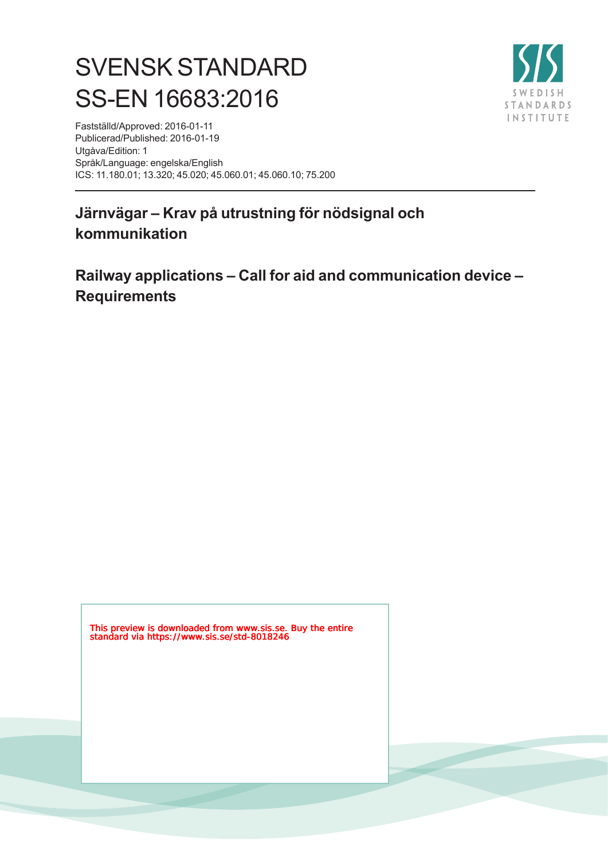# SVENSK STANDARD SS-EN 16683:2016



Fastställd/Approved: 2016-01-11 Publicerad/Published: 2016-01-19 Utgåva/Edition: 1 Språk/Language: engelska/English ICS: 11.180.01; 13.320; 45.020; 45.060.01; 45.060.10; 75.200

## **Järnvägar – Krav på utrustning för nödsignal och kommunikation**

**Railway applications – Call for aid and communication device – Requirements**

This preview is downloaded from www.sis.se. Buy the entire standard via https://www.sis.se/std-8018246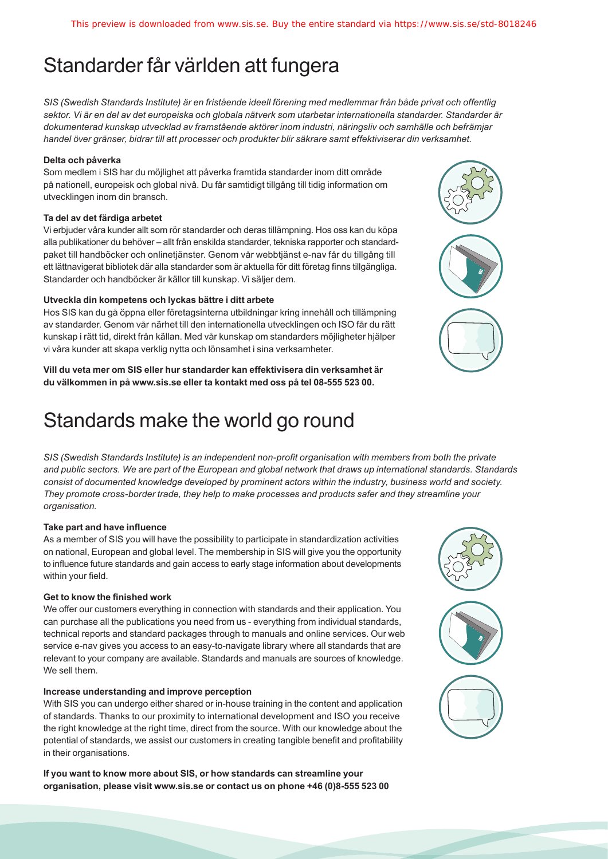## Standarder får världen att fungera

*SIS (Swedish Standards Institute) är en fristående ideell förening med medlemmar från både privat och offentlig sektor. Vi är en del av det europeiska och globala nätverk som utarbetar internationella standarder. Standarder är dokumenterad kunskap utvecklad av framstående aktörer inom industri, näringsliv och samhälle och befrämjar handel över gränser, bidrar till att processer och produkter blir säkrare samt effektiviserar din verksamhet.* 

#### **Delta och påverka**

Som medlem i SIS har du möjlighet att påverka framtida standarder inom ditt område på nationell, europeisk och global nivå. Du får samtidigt tillgång till tidig information om utvecklingen inom din bransch.

#### **Ta del av det färdiga arbetet**

Vi erbjuder våra kunder allt som rör standarder och deras tillämpning. Hos oss kan du köpa alla publikationer du behöver – allt från enskilda standarder, tekniska rapporter och standardpaket till handböcker och onlinetjänster. Genom vår webbtjänst e-nav får du tillgång till ett lättnavigerat bibliotek där alla standarder som är aktuella för ditt företag finns tillgängliga. Standarder och handböcker är källor till kunskap. Vi säljer dem.

#### **Utveckla din kompetens och lyckas bättre i ditt arbete**

Hos SIS kan du gå öppna eller företagsinterna utbildningar kring innehåll och tillämpning av standarder. Genom vår närhet till den internationella utvecklingen och ISO får du rätt kunskap i rätt tid, direkt från källan. Med vår kunskap om standarders möjligheter hjälper vi våra kunder att skapa verklig nytta och lönsamhet i sina verksamheter.

**Vill du veta mer om SIS eller hur standarder kan effektivisera din verksamhet är du välkommen in på www.sis.se eller ta kontakt med oss på tel 08-555 523 00.**

## Standards make the world go round

*SIS (Swedish Standards Institute) is an independent non-profit organisation with members from both the private and public sectors. We are part of the European and global network that draws up international standards. Standards consist of documented knowledge developed by prominent actors within the industry, business world and society. They promote cross-border trade, they help to make processes and products safer and they streamline your organisation.*

#### **Take part and have influence**

As a member of SIS you will have the possibility to participate in standardization activities on national, European and global level. The membership in SIS will give you the opportunity to influence future standards and gain access to early stage information about developments within your field.

#### **Get to know the finished work**

We offer our customers everything in connection with standards and their application. You can purchase all the publications you need from us - everything from individual standards, technical reports and standard packages through to manuals and online services. Our web service e-nav gives you access to an easy-to-navigate library where all standards that are relevant to your company are available. Standards and manuals are sources of knowledge. We sell them.

#### **Increase understanding and improve perception**

With SIS you can undergo either shared or in-house training in the content and application of standards. Thanks to our proximity to international development and ISO you receive the right knowledge at the right time, direct from the source. With our knowledge about the potential of standards, we assist our customers in creating tangible benefit and profitability in their organisations.

**If you want to know more about SIS, or how standards can streamline your organisation, please visit www.sis.se or contact us on phone +46 (0)8-555 523 00**



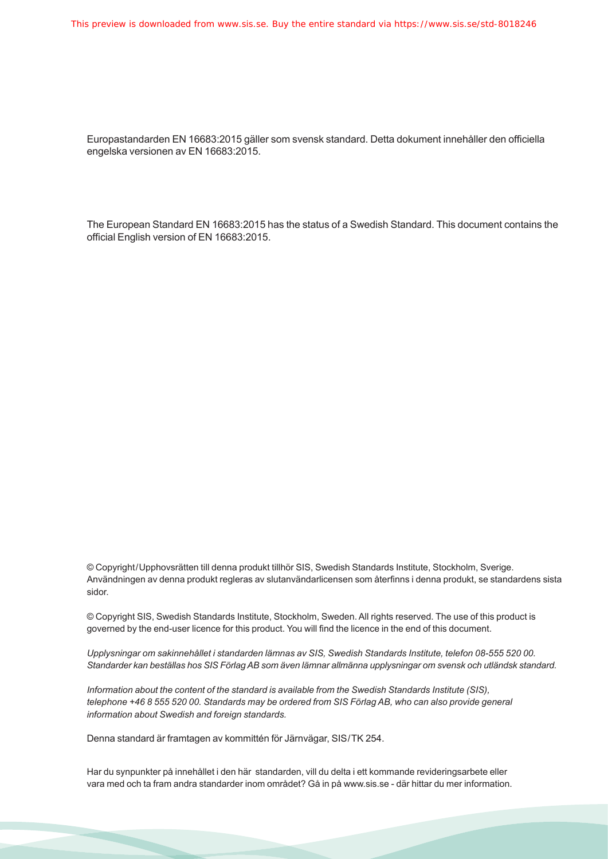Europastandarden EN 16683:2015 gäller som svensk standard. Detta dokument innehåller den officiella engelska versionen av EN 16683:2015.

The European Standard EN 16683:2015 has the status of a Swedish Standard. This document contains the official English version of EN 16683:2015.

© Copyright / Upphovsrätten till denna produkt tillhör SIS, Swedish Standards Institute, Stockholm, Sverige. Användningen av denna produkt regleras av slutanvändarlicensen som återfinns i denna produkt, se standardens sista sidor.

© Copyright SIS, Swedish Standards Institute, Stockholm, Sweden. All rights reserved. The use of this product is governed by the end-user licence for this product. You will find the licence in the end of this document.

*Upplysningar om sakinnehållet i standarden lämnas av SIS, Swedish Standards Institute, telefon 08-555 520 00. Standarder kan beställas hos SIS Förlag AB som även lämnar allmänna upplysningar om svensk och utländsk standard.*

*Information about the content of the standard is available from the Swedish Standards Institute (SIS), telephone +46 8 555 520 00. Standards may be ordered from SIS Förlag AB, who can also provide general information about Swedish and foreign standards.*

Denna standard är framtagen av kommittén för Järnvägar, SIS / TK 254.

Har du synpunkter på innehållet i den här standarden, vill du delta i ett kommande revideringsarbete eller vara med och ta fram andra standarder inom området? Gå in på www.sis.se - där hittar du mer information.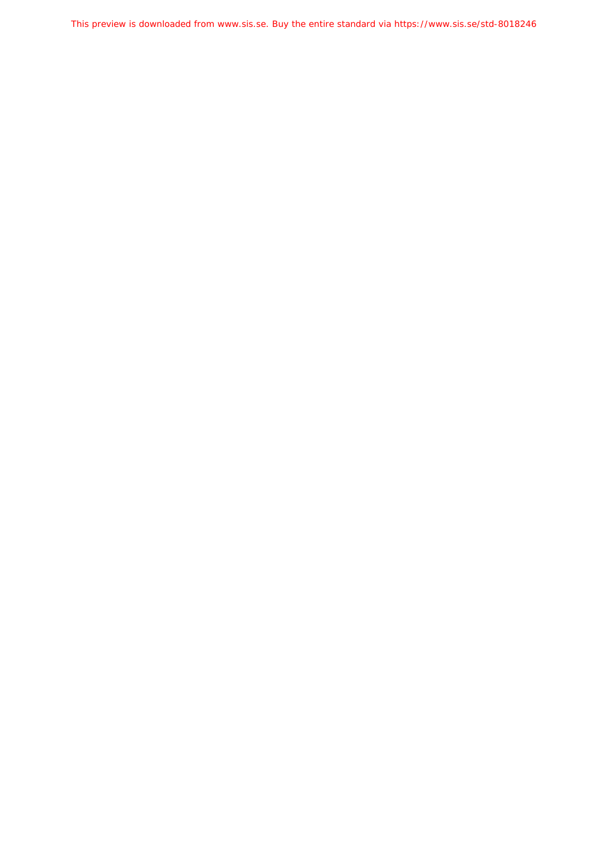This preview is downloaded from www.sis.se. Buy the entire standard via https://www.sis.se/std-8018246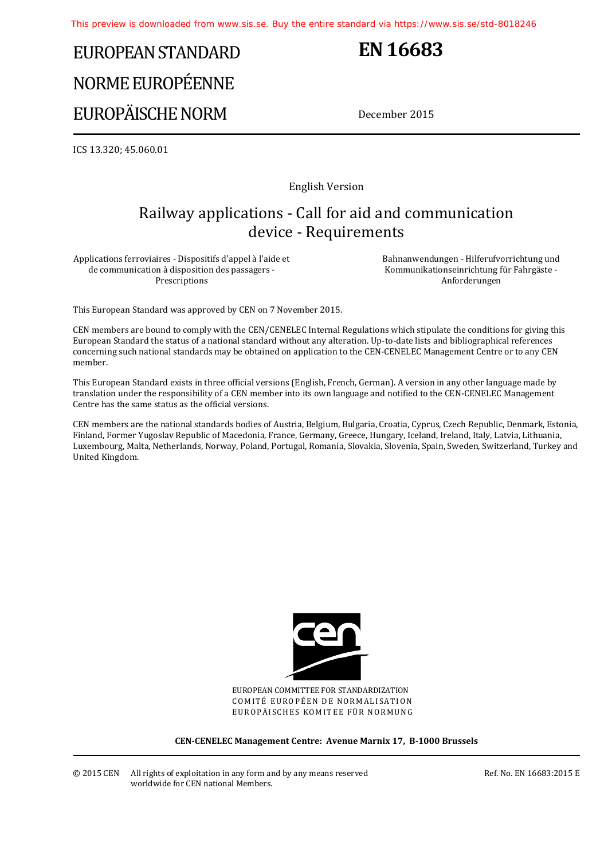# EUROPEAN STANDARD NORME EUROPÉENNE EUROPÄISCHE NORM

## **EN 16683**

December 2015

ICS 13.320; 45.060.01

English Version

## Railway applications - Call for aid and communication device - Requirements

Applications ferroviaires - Dispositifs d'appel à l'aide et de communication à disposition des passagers - Prescriptions

Bahnanwendungen - Hilferufvorrichtung und Kommunikationseinrichtung für Fahrgäste - Anforderungen

This European Standard was approved by CEN on 7 November 2015.

CEN members are bound to comply with the CEN/CENELEC Internal Regulations which stipulate the conditions for giving this European Standard the status of a national standard without any alteration. Up-to-date lists and bibliographical references concerning such national standards may be obtained on application to the CEN-CENELEC Management Centre or to any CEN member.

This European Standard exists in three official versions (English, French, German). A version in any other language made by translation under the responsibility of a CEN member into its own language and notified to the CEN-CENELEC Management Centre has the same status as the official versions.

CEN members are the national standards bodies of Austria, Belgium, Bulgaria, Croatia, Cyprus, Czech Republic, Denmark, Estonia, Finland, Former Yugoslav Republic of Macedonia, France, Germany, Greece, Hungary, Iceland, Ireland, Italy, Latvia, Lithuania, Luxembourg, Malta, Netherlands, Norway, Poland, Portugal, Romania, Slovakia, Slovenia, Spain, Sweden, Switzerland, Turkey and United Kingdom.



EUROPEAN COMMITTEE FOR STANDARDIZATION COMITÉ EUROPÉEN DE NORMALISATION EUROPÄISCHES KOMITEE FÜR NORMUNG

**CEN-CENELEC Management Centre: Avenue Marnix 17, B-1000 Brussels** 

© 2015 CEN All rights of exploitation in any form and by any means reserved worldwide for CEN national Members.

Ref. No. EN 16683:2015 E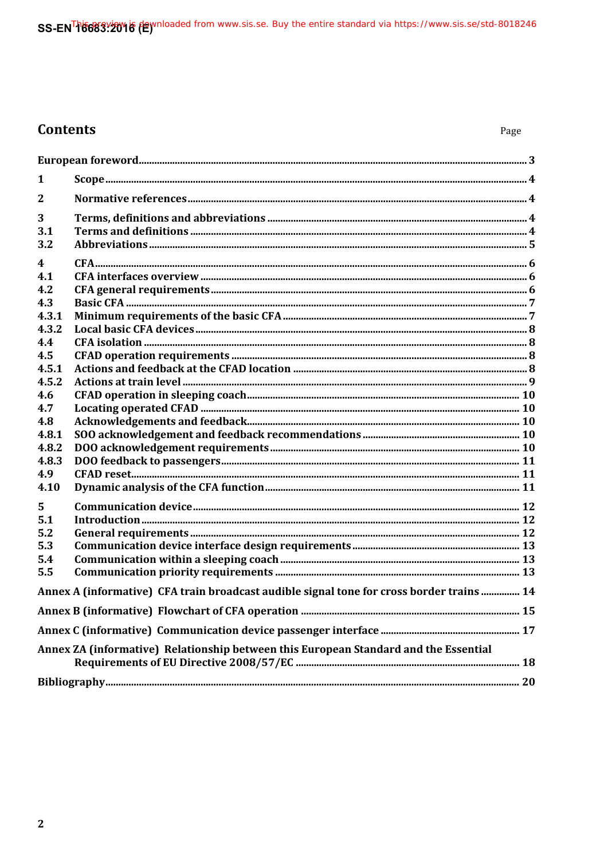## **Contents**

| 1                       |                                                                                           |  |
|-------------------------|-------------------------------------------------------------------------------------------|--|
| $\mathbf{2}$            |                                                                                           |  |
| 3                       |                                                                                           |  |
| 3.1                     |                                                                                           |  |
| 3.2                     |                                                                                           |  |
| $\overline{\mathbf{4}}$ |                                                                                           |  |
| 4.1                     |                                                                                           |  |
| 4.2                     |                                                                                           |  |
| 4.3                     |                                                                                           |  |
| 4.3.1                   |                                                                                           |  |
| 4.3.2                   |                                                                                           |  |
| 4.4                     |                                                                                           |  |
| 4.5                     |                                                                                           |  |
| 4.5.1                   |                                                                                           |  |
| 4.5.2                   |                                                                                           |  |
| 4.6                     |                                                                                           |  |
| 4.7                     |                                                                                           |  |
| 4.8                     |                                                                                           |  |
| 4.8.1                   |                                                                                           |  |
| 4.8.2                   |                                                                                           |  |
| 4.8.3                   |                                                                                           |  |
| 4.9                     |                                                                                           |  |
|                         |                                                                                           |  |
| 4.10                    |                                                                                           |  |
| 5                       |                                                                                           |  |
| 5.1                     |                                                                                           |  |
| 5.2                     |                                                                                           |  |
| 5.3                     |                                                                                           |  |
| 5.4                     |                                                                                           |  |
| 5.5                     |                                                                                           |  |
|                         | Annex A (informative) CFA train broadcast audible signal tone for cross border trains  14 |  |
|                         |                                                                                           |  |
|                         |                                                                                           |  |
|                         |                                                                                           |  |
|                         | Annex ZA (informative) Relationship between this European Standard and the Essential      |  |
|                         |                                                                                           |  |
|                         |                                                                                           |  |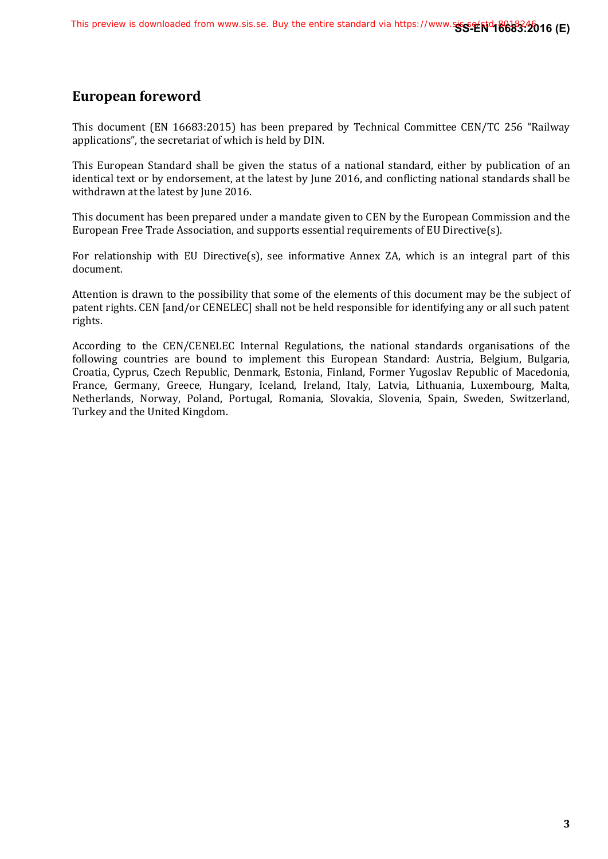## <span id="page-6-0"></span>**European foreword**

This document (EN 16683:2015) has been prepared by Technical Committee CEN/TC 256 "Railway applications", the secretariat of which is held by DIN.

This European Standard shall be given the status of a national standard, either by publication of an identical text or by endorsement, at the latest by June 2016, and conflicting national standards shall be withdrawn at the latest by June 2016.

This document has been prepared under a mandate given to CEN by the European Commission and the European Free Trade Association, and supports essential requirements of EU Directive(s).

For relationship with EU Directive(s), see informative Annex ZA, which is an integral part of this document.

Attention is drawn to the possibility that some of the elements of this document may be the subject of patent rights. CEN [and/or CENELEC] shall not be held responsible for identifying any or all such patent rights.

According to the CEN/CENELEC Internal Regulations, the national standards organisations of the following countries are bound to implement this European Standard: Austria, Belgium, Bulgaria, Croatia, Cyprus, Czech Republic, Denmark, Estonia, Finland, Former Yugoslav Republic of Macedonia, France, Germany, Greece, Hungary, Iceland, Ireland, Italy, Latvia, Lithuania, Luxembourg, Malta, Netherlands, Norway, Poland, Portugal, Romania, Slovakia, Slovenia, Spain, Sweden, Switzerland, Turkey and the United Kingdom.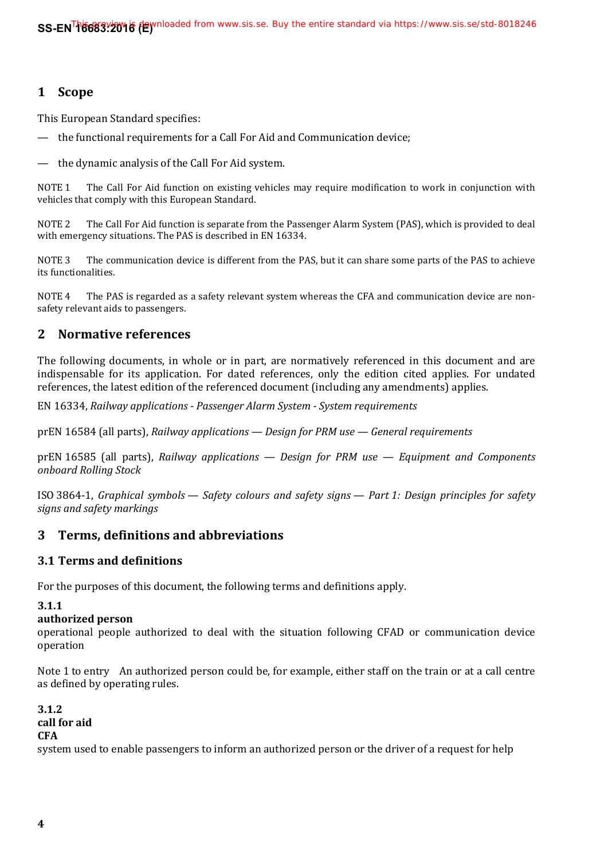## <span id="page-7-0"></span>**1 Scope**

This European Standard specifies:

- the functional requirements for a Call For Aid and Communication device;
- the dynamic analysis of the Call For Aid system.

NOTE 1 The Call For Aid function on existing vehicles may require modification to work in conjunction with vehicles that comply with this European Standard.

NOTE 2 The Call For Aid function is separate from the Passenger Alarm System (PAS), which is provided to deal with emergency situations. The PAS is described in EN 16334.

NOTE 3 The communication device is different from the PAS, but it can share some parts of the PAS to achieve its functionalities.

NOTE 4 The PAS is regarded as a safety relevant system whereas the CFA and communication device are nonsafety relevant aids to passengers.

## <span id="page-7-1"></span>**2 Normative references**

The following documents, in whole or in part, are normatively referenced in this document and are indispensable for its application. For dated references, only the edition cited applies. For undated references, the latest edition of the referenced document (including any amendments) applies.

EN 16334, *Railway applications - Passenger Alarm System - System requirements*

prEN 16584 (all parts), *Railway applications — Design for PRM use — General requirements*

prEN 16585 (all parts), *Railway applications — Design for PRM use — Equipment and Components onboard Rolling Stock*

ISO 3864-1, *Graphical symbols — Safety colours and safety signs — Part 1: Design principles for safety signs and safety markings*

### <span id="page-7-2"></span>**3 Terms, definitions and abbreviations**

#### <span id="page-7-3"></span>**3.1 Terms and definitions**

For the purposes of this document, the following terms and definitions apply.

#### **3.1.1**

#### **authorized person**

operational people authorized to deal with the situation following CFAD or communication device operation

Note 1 to entry An authorized person could be, for example, either staff on the train or at a call centre as defined by operating rules.

**3.1.2 call for aid**

#### **CFA**

system used to enable passengers to inform an authorized person or the driver of a request for help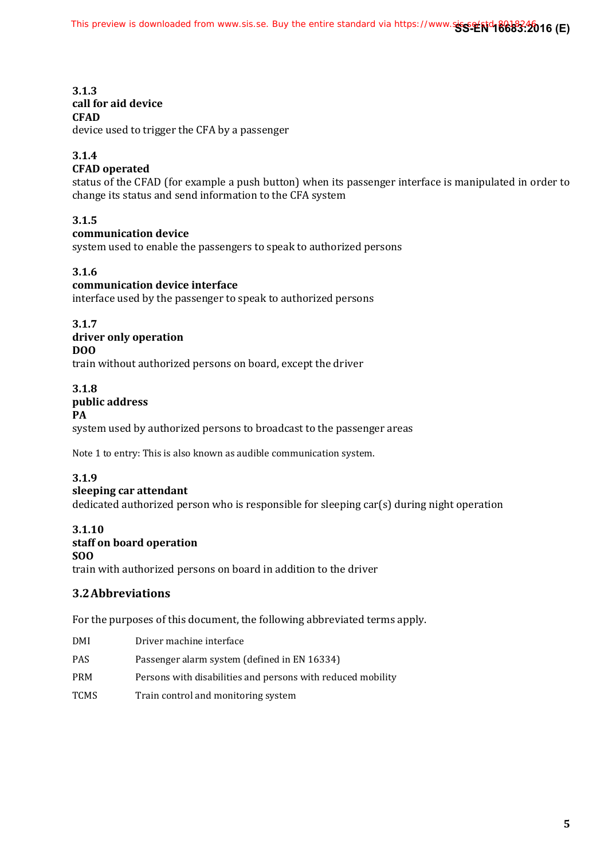#### **3.1.3 call for aid device CFAD**

device used to trigger the CFA by a passenger

## **3.1.4**

## **CFAD operated**

status of the CFAD (for example a push button) when its passenger interface is manipulated in order to change its status and send information to the CFA system

### **3.1.5**

#### **communication device**

system used to enable the passengers to speak to authorized persons

### **3.1.6**

#### **communication device interface**

interface used by the passenger to speak to authorized persons

#### **3.1.7**

## **driver only operation**

**DOO** 

train without authorized persons on board, except the driver

## **3.1.8**

## **public address**

**PA**

system used by authorized persons to broadcast to the passenger areas

Note 1 to entry: This is also known as audible communication system.

#### **3.1.9**

#### **sleeping car attendant**

dedicated authorized person who is responsible for sleeping car(s) during night operation

#### **3.1.10 staff on board operation SOO**

train with authorized persons on board in addition to the driver

## <span id="page-8-0"></span>**3.2Abbreviations**

For the purposes of this document, the following abbreviated terms apply.

| DMI  | Driver machine interface                                    |
|------|-------------------------------------------------------------|
| PAS  | Passenger alarm system (defined in EN 16334)                |
| PRM  | Persons with disabilities and persons with reduced mobility |
| TCMS | Train control and monitoring system                         |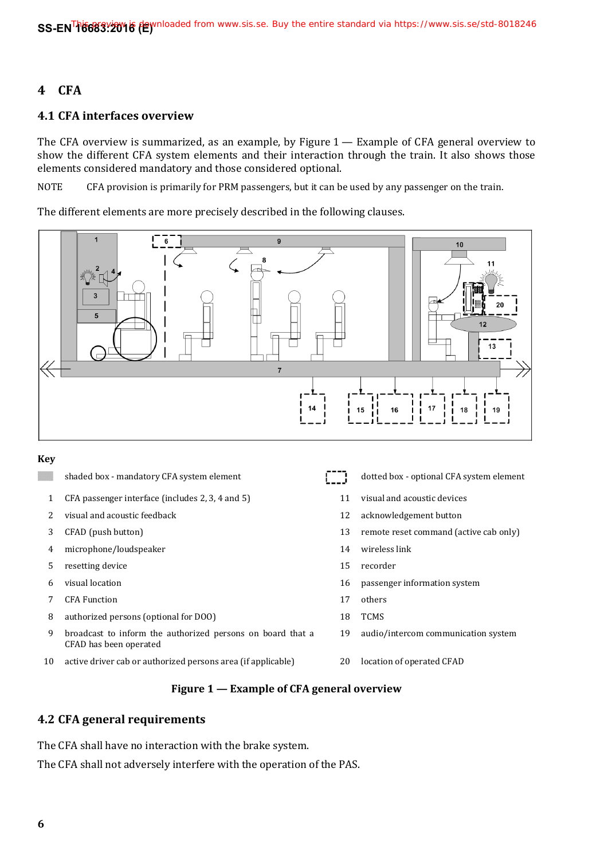## <span id="page-9-0"></span>**4 CFA**

#### <span id="page-9-1"></span>**4.1 CFA interfaces overview**

The CFA overview is summarized, as an example, by Figure 1 — Example of CFA general overview to show the different CFA system elements and their interaction through the train. It also shows those elements considered mandatory and those considered optional.

NOTE CFA provision is primarily for PRM passengers, but it can be used by any passenger on the train.

The different elements are more precisely described in the following clauses.



#### **Key**

- - 1 CFA passenger interface (includes 2, 3, 4 and 5) 11 visual and acoustic devices
	-
	-
	- 4 microphone/loudspeaker 14 wireless link
	- 5 resetting device the contract of the conder that the conder the condernation of the condernation of the condernation of the condernation of the condernation of the condernation of the condernation of the condernation of
	-
	- 7 CFA Function **17** others
	- 8 authorized persons (optional for DOO) 18 TCMS
	- 9 broadcast to inform the authorized persons on board that a CFAD has been operated
- 10 active driver cab or authorized persons area (if applicable) 20 location of operated CFAD
- shaded box mandatory CFA system element  $\begin{bmatrix} 1 & 1 \\ 0 & 1 \end{bmatrix}$  dotted box optional CFA system element
	-
- 2 visual and acoustic feedback 12 acknowledgement button
- 3 CFAD (push button) 13 remote reset command (active cab only)
	-
	-
- 6 visual location 16 passenger information system
	-
	-
	- 19 audio/intercom communication system
	-

#### **Figure 1 — Example of CFA general overview**

#### <span id="page-9-2"></span>**4.2 CFA general requirements**

The CFA shall have no interaction with the brake system.

The CFA shall not adversely interfere with the operation of the PAS.